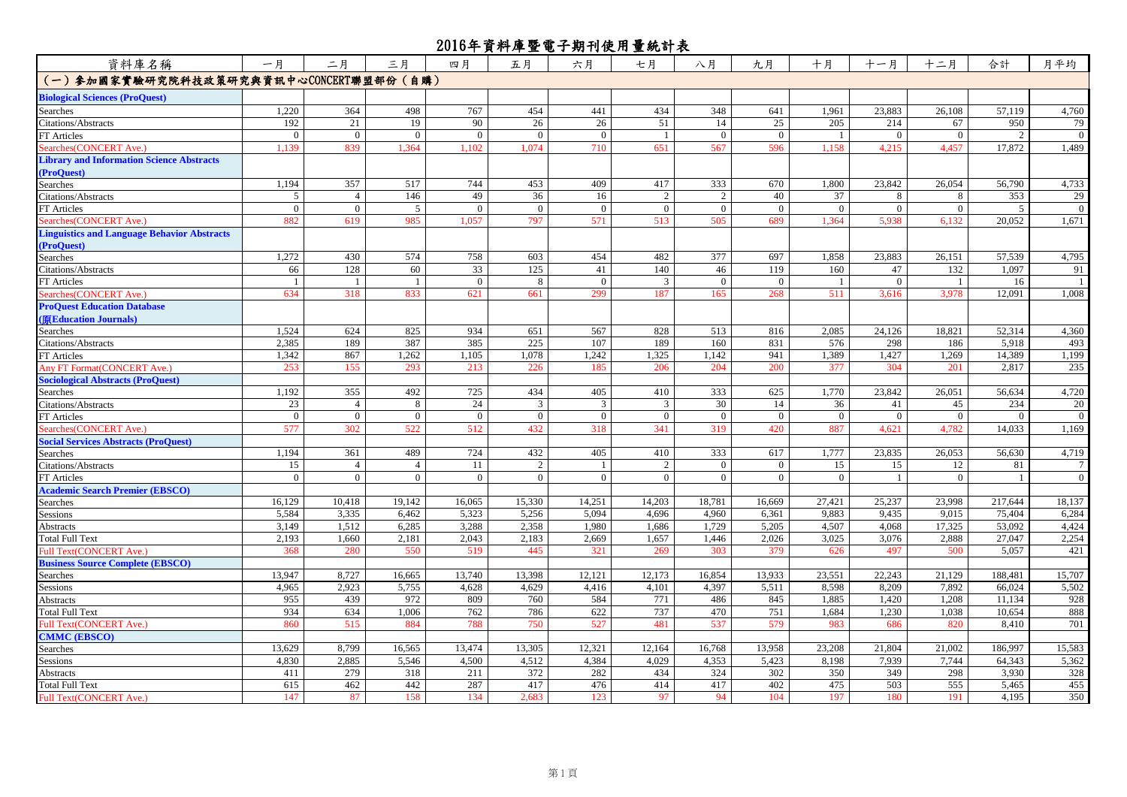| 資料庫名稱                                              | 一月             | 二月             | 三月             | 四月             | 五月             | 六月             | 七月             | 八月             | 九月             | 十月             | 十一月            | 十二月            | 合計            | 月平均            |
|----------------------------------------------------|----------------|----------------|----------------|----------------|----------------|----------------|----------------|----------------|----------------|----------------|----------------|----------------|---------------|----------------|
| (一) 参加國家實驗研究院科技政策研究與資訊中心CONCERT聯盟部份(自購)            |                |                |                |                |                |                |                |                |                |                |                |                |               |                |
| <b>Biological Sciences (ProQuest)</b>              |                |                |                |                |                |                |                |                |                |                |                |                |               |                |
| Searches                                           | 1,220          | 364            | 498            | 767            | 454            | 441            | 434            | 348            | 641            | 1,961          | 23,883         | 26,108         | 57,119        | 4,760          |
| Citations/Abstracts                                | 192            | 21             | 19             | 90             | 26             | 26             | 51             | 14             | 25             | 205            | 214            | 67             | 950           | 79             |
| FT Articles                                        | $\overline{0}$ | $\overline{0}$ | $\overline{0}$ | $\overline{0}$ | $\overline{0}$ | $\overline{0}$ | -1             | $\overline{0}$ | $\mathbf{0}$   | $\mathbf{1}$   | $\overline{0}$ | $\overline{0}$ | $\mathcal{D}$ | $\overline{0}$ |
| Searches(CONCERT Ave.)                             | 1,139          | 839            | 1,364          | 1,102          | 1,074          | 710            | 651            | 567            | 596            | 1,158          | 4,215          | 4,457          | 17,872        | 1,489          |
| <b>Library and Information Science Abstracts</b>   |                |                |                |                |                |                |                |                |                |                |                |                |               |                |
| (ProQuest)                                         |                |                |                |                |                |                |                |                |                |                |                |                |               |                |
| Searches                                           | 1,194          | 357            | 517            | 744            | 453            | 409            | 417            | 333            | 670            | 1,800          | 23,842         | 26,054         | 56,790        | 4,733          |
| Citations/Abstracts                                | 5              | $\overline{4}$ | 146            | 49             | 36             | 16             | 2              | 2              | 40             | 37             | 8              | 8              | 353           | 29             |
| FT Articles                                        | $\overline{0}$ | $\mathbf{0}$   | 5              | $\overline{0}$ | $\overline{0}$ | $\overline{0}$ | $\mathbf{0}$   | $\mathbf{0}$   | $\overline{0}$ | $\mathbf{0}$   | $\mathbf{0}$   | $\overline{0}$ | 5             | $\mathbf{0}$   |
| Searches (CONCERT Ave.)                            | 882            | 619            | 985            | .057           | 797            | 571            | 513            | 505            | 689            | .364           | 5.938          | 6.132          | 20.052        | 1,671          |
| <b>Linguistics and Language Behavior Abstracts</b> |                |                |                |                |                |                |                |                |                |                |                |                |               |                |
| (ProQuest)                                         |                |                |                |                |                |                |                |                |                |                |                |                |               |                |
| Searches                                           | 1,272          | 430            | 574            | 758            | 603            | 454            | 482            | 377            | 697            | 1,858          | 23,883         | 26,151         | 57,539        | 4,795          |
| Citations/Abstracts                                | 66             | 128            | 60             | 33             | 125            | 41             | 140            | 46             | 119            | 160            | 47             | 132            | 1,097         | 91             |
| FT Articles                                        |                |                |                | $\overline{0}$ | 8              | $\Omega$       | $\overline{3}$ | $\theta$       | $\mathbf{0}$   |                | $\Omega$       |                | 16            | $\mathbf{1}$   |
| Searches(CONCERT Ave.)                             | 634            | 318            | 833            | 621            | 661            | 299            | 187            | 165            | 268            | 511            | 3,616          | 3,978          | 12,091        | 1,008          |
| <b>ProQuest Education Database</b>                 |                |                |                |                |                |                |                |                |                |                |                |                |               |                |
| [原Education Journals)                              |                |                |                |                |                |                |                |                |                |                |                |                |               |                |
| Searches                                           | 1,524          | 624            | 825            | 934            | 651            | 567            | 828            | 513            | 816            | 2,085          | 24,126         | 18,821         | 52,314        | 4,360          |
| Citations/Abstracts                                | 2,385          | 189            | 387            | 385            | 225            | 107            | 189            | 160            | 831            | 576            | 298            | 186            | 5,918         | 493            |
| FT Articles                                        | 1,342          | 867            | 1,262          | 1,105          | 1,078          | 1,242          | 1,325          | 1,142          | 941            | 1,389          | 1,427          | 1,269          | 14,389        | 1,199          |
| Any FT Format (CONCERT Ave.)                       | 253            | 155            | 293            | 213            | 226            | 185            | 206            | 204            | 200            | 377            | 304            | 201            | 2,817         | 235            |
| <b>Sociological Abstracts (ProQuest)</b>           |                |                |                |                |                |                |                |                |                |                |                |                |               |                |
| Searches                                           | 1,192          | 355            | 492            | 725            | 434            | 405            | 410            | 333            | 625            | 1,770          | 23,842         | 26,051         | 56,634        | 4,720          |
| Citations/Abstracts                                | 23             | $\overline{4}$ | 8              | 24             | 3              | 3              | $\overline{3}$ | 30             | 14             | 36             | 41             | 45             | 234           | 20             |
| FT Articles                                        | $\overline{0}$ | $\overline{0}$ | $\overline{0}$ | $\overline{0}$ | $\overline{0}$ | $\overline{0}$ | $\overline{0}$ | $\mathbf{0}$   | $\overline{0}$ | $\overline{0}$ | $\overline{0}$ | $\overline{0}$ | $\Omega$      | $\overline{0}$ |
| Searches (CONCERT Ave.)                            | 577            | 302            | 522            | 512            | 432            | 318            | 341            | 319            | 420            | 887            | 4.621          | 4,782          | 14,033        | 1,169          |
| <b>Social Services Abstracts (ProQuest)</b>        |                |                |                |                |                |                |                |                |                |                |                |                |               |                |
| Searches                                           | 1,194          | 361            | 489            | 724            | 432            | 405            | 410            | 333            | 617            | 1,777          | 23,835         | 26,053         | 56,630        | 4,719          |
| Citations/Abstracts                                | 15             | $\overline{4}$ | $\overline{4}$ | 11             | 2              | $\overline{1}$ | 2              | $\Omega$       | $\mathbf{0}$   | 15             | 15             | 12             | 81            | $\tau$         |
| FT Articles                                        | $\overline{0}$ | $\overline{0}$ | $\overline{0}$ | $\overline{0}$ | $\overline{0}$ | $\overline{0}$ | $\overline{0}$ | $\overline{0}$ | $\overline{0}$ | $\overline{0}$ | $\overline{1}$ | $\overline{0}$ | $\mathbf{1}$  | $\overline{0}$ |
| <b>Academic Search Premier (EBSCO)</b>             |                |                |                |                |                |                |                |                |                |                |                |                |               |                |
| Searches                                           | 16,129         | 10,418         | 19,142         | 16,065         | 15,330         | 14,251         | 14,203         | 18,781         | 16,669         | 27,421         | 25,237         | 23,998         | 217,644       | 18,137         |
| Sessions                                           | 5,584          | 3,335          | 6,462          | 5,323          | 5,256          | 5,094          | 4,696          | 4,960          | 6,361          | 9,883          | 9,435          | 9,015          | 75,404        | 6,284          |
| Abstracts                                          | 3,149          | 1,512          | 6,285          | 3,288          | 2,358          | 1,980          | 1,686          | 1,729          | 5,205          | 4,507          | 4,068          | 17,325         | 53,092        | 4,424          |
| Total Full Text                                    | 2,193          | 1,660          | 2,181          | 2,043          | 2,183          | 2,669          | 1,657          | 1,446          | 2,026          | 3,025          | 3,076          | 2,888          | 27,047        | 2,254          |
| Full Text(CONCERT Ave.)                            | 368            | 280            | 550            | 519            | 445            | 321            | 269            | 303            | 379            | 626            | 497            | 500            | 5,057         | 421            |
| <b>Business Source Complete (EBSCO)</b>            |                |                |                |                |                |                |                |                |                |                |                |                |               |                |
| Searches                                           | 13,947         | 8,727          | 16,665         | 13,740         | 13,398         | 12,121         | 12,173         | 16,854         | 13,933         | 23,551         | 22,243         | 21,129         | 188,481       | 15,707         |
| Sessions                                           | 4,965          | 2,923          | 5,755          | 4,628          | 4,629          | 4,416          | 4,101          | 4,397          | 5,511          | 8,598          | 8,209          | 7,892          | 66,024        | 5,502          |
| Abstracts                                          | 955            | 439            | 972            | 809            | 760            | 584            | 771            | 486            | 845            | 1,885          | 1,420          | 1,208          | 11,134        | 928            |
| Total Full Text                                    | 934            | 634            | 1,006          | 762            | 786            | 622            | 737            | 470            | 751            | 1,684          | 1,230          | 1,038          | 10,654        | 888            |
| full Text(CONCERT Ave.)                            | 860            | 515            | 884            | 788            | 750            | 527            | 481            | 537            | 579            | 983            | 686            | 820            | 8,410         | 701            |
| <b>CMMC (EBSCO)</b>                                |                |                |                |                |                |                |                |                |                |                |                |                |               |                |
| Searches                                           | 13,629         | 8,799          | 16,565         | 13,474         | 13,305         | 12,321         | 12,164         | 16,768         | 13,958         | 23,208         | 21,804         | 21,002         | 186,997       | 15,583         |
| Sessions                                           | 4,830          | 2,885          | 5,546          | 4,500          | 4,512          | 4,384          | 4,029          | 4,353          | 5,423          | 8,198          | 7.939          | 7,744          | 64,343        | 5,362          |
| Abstracts                                          | 411            | 279            | 318            | 211            | 372            | 282            | 434            | 324            | 302            | 350            | 349            | 298            | 3,930         | 328            |
| Total Full Text                                    | 615            | 462            | 442            | 287            | 417            | 476            | 414            | 417            | 402            | 475            | 503            | 555            | 5,465         | 455            |
| Full Text(CONCERT Ave.)                            | 147            | 87             | 158            | 134            | 2,683          | 123            | 97             | 94             | 104            | 197            | 180            | 191            | 4,195         | 350            |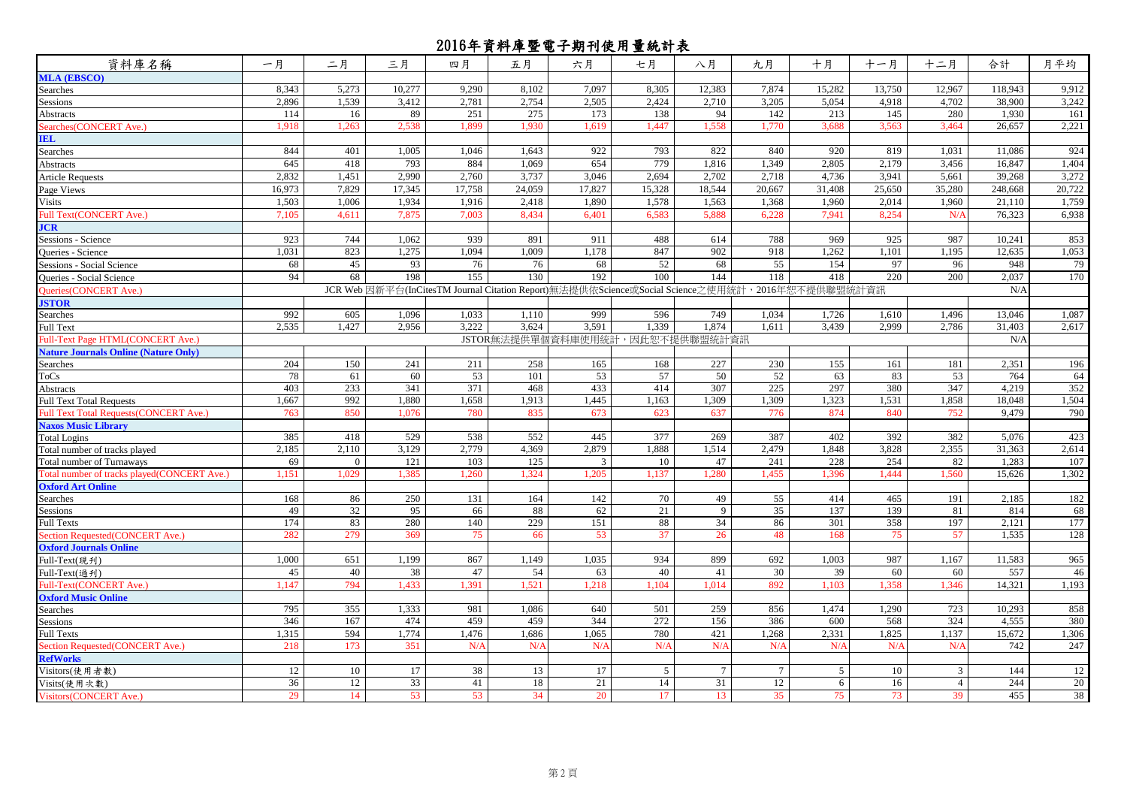| 資料庫名稱                                          | 一月     | 二月       | 三月     | 四月                                                                                               | 五月     | 六月                              | 七月       | 八月     | 九月              | 十月     | 十一月      | 十二月            | 合計      | 月平均    |
|------------------------------------------------|--------|----------|--------|--------------------------------------------------------------------------------------------------|--------|---------------------------------|----------|--------|-----------------|--------|----------|----------------|---------|--------|
| <b>MLA (EBSCO)</b>                             |        |          |        |                                                                                                  |        |                                 |          |        |                 |        |          |                |         |        |
| Searches                                       | 8,343  | 5,273    | 10,277 | 9,290                                                                                            | 8,102  | 7.097                           | 8,305    | 12,383 | 7,874           | 15,282 | 13,750   | 12,967         | 118,943 | 9,912  |
| Sessions                                       | 2,896  | 1,539    | 3,412  | 2,781                                                                                            | 2,754  | 2,505                           | 2,424    | 2,710  | 3,205           | 5,054  | 4,918    | 4,702          | 38,900  | 3,242  |
| Abstracts                                      | 114    | 16       | 89     | 251                                                                                              | 275    | 173                             | 138      | 94     | 142             | 213    | 145      | 280            | 1.930   | 161    |
| Searches (CONCERT Ave.)                        | 1.918  | 1.263    | 2.538  | 1.899                                                                                            | 1.930  | 1.619                           | 1.447    | 1.558  | 1.770           | 3.688  | 3.563    | 3.464          | 26.657  | 2,221  |
| <b>IEL</b>                                     |        |          |        |                                                                                                  |        |                                 |          |        |                 |        |          |                |         |        |
| Searches                                       | 844    | 401      | 1,005  | 1,046                                                                                            | 1,643  | 922                             | 793      | 822    | 840             | 920    | 819      | 1,031          | 11,086  | 924    |
| Abstracts                                      | 645    | 418      | 793    | 884                                                                                              | 1,069  | 654                             | 779      | 1,816  | 1,349           | 2,805  | 2,179    | 3,456          | 16,847  | 1,404  |
| <b>Article Requests</b>                        | 2.832  | 1,451    | 2,990  | 2,760                                                                                            | 3.737  | 3.046                           | 2.694    | 2,702  | 2,718           | 4,736  | 3,941    | 5,661          | 39,268  | 3,272  |
| Page Views                                     | 16,973 | 7,829    | 17,345 | 17,758                                                                                           | 24,059 | 17.827                          | 15,328   | 18,544 | 20.667          | 31,408 | 25,650   | 35,280         | 248,668 | 20,722 |
| <b>Visits</b>                                  | 1,503  | 1.006    | 1,934  | 1,916                                                                                            | 2.418  | 1.890                           | 1.578    | 1,563  | 1,368           | 1,960  | 2,014    | 1.960          | 21,110  | 1,759  |
| Full Text(CONCERT Ave.)                        | 7,105  | 4,611    | 7,875  | 7,003                                                                                            | 8,434  | 6,401                           | 6,583    | 5,888  | 6,228           | 7,941  | 8,254    | N/A            | 76,323  | 6,938  |
| JCR                                            |        |          |        |                                                                                                  |        |                                 |          |        |                 |        |          |                |         |        |
| Sessions - Science                             | 923    | 744      | 1,062  | 939                                                                                              | 891    | 911                             | 488      | 614    | 788             | 969    | 925      | 987            | 10.241  | 853    |
| <b>Oueries - Science</b>                       | 1.031  | 823      | 1,275  | 1.094                                                                                            | 1,009  | 1,178                           | 847      | 902    | 918             | 1.262  | 1.101    | 1.195          | 12,635  | 1,053  |
| <b>Sessions - Social Science</b>               | 68     | 45       | 93     | 76                                                                                               | 76     | 68                              | 52       | 68     | 55              | 154    | 97       | 96             | 948     | 79     |
| <b>Oueries - Social Science</b>                | 94     | 68       | 198    | 155                                                                                              | 130    | 192                             | 100      | 144    | 118             | 418    | 220      | 200            | 2,037   | 170    |
| Queries(CONCERT Ave.)                          |        |          |        | JCR Web 因新平台(InCitesTM Journal Citation Report)無法提供依Science或Social Science之使用統計, 2016年恕不提供聯盟統計資訊 |        |                                 |          |        |                 |        |          |                | N/A     |        |
| <b>ISTOR</b>                                   |        |          |        |                                                                                                  |        |                                 |          |        |                 |        |          |                |         |        |
| Searches                                       | 992    | 605      | 1,096  | 1,033                                                                                            | 1.110  | 999                             | 596      | 749    | 1.034           | 1,726  | 1,610    | 1.496          | 13,046  | 1,087  |
| Full Text                                      | 2,535  | 1,427    | 2,956  | 3,222                                                                                            | 3,624  | 3,591                           | 1,339    | 1,874  | 1,611           | 3,439  | 2,999    | 2,786          | 31,403  | 2,617  |
| Full-Text Page HTML(CONCERT Ave.)              |        |          |        |                                                                                                  |        | JSTOR無法提供單個資料庫使用統計,因此恕不提供聯盟統計資訊 |          |        |                 |        |          |                | N/A     |        |
| <b>Nature Journals Online (Nature Only)</b>    |        |          |        |                                                                                                  |        |                                 |          |        |                 |        |          |                |         |        |
| Searches                                       | 204    | 150      | 241    | 211                                                                                              | 258    | 165                             | 168      | 227    | 230             | 155    | 161      | 181            | 2,351   | 196    |
| ToCs                                           | 78     | 61       | 60     | 53                                                                                               | 101    | 53                              | 57       | 50     | 52              | 63     | 83       | 53             | 764     | 64     |
| <b>Abstracts</b>                               | 403    | 233      | 341    | 371                                                                                              | 468    | 433                             | 414      | 307    | 225             | 297    | 380      | 347            | 4,219   | 352    |
| <b>Full Text Total Requests</b>                | 1,667  | 992      | 1,880  | 1,658                                                                                            | 1,913  | 1,445                           | 1,163    | 1,309  | 1,309           | 1,323  | 1,531    | 1,858          | 18,048  | 1,504  |
| <b>Full Text Total Requests (CONCERT Ave.)</b> | 763    | 850      | 1.076  | 780                                                                                              | 835    | 673                             | 623      | 637    | 776             | 874    | 840      | 752            | 9.479   | 790    |
| <b>Naxos Music Library</b>                     |        |          |        |                                                                                                  |        |                                 |          |        |                 |        |          |                |         |        |
| <b>Total Logins</b>                            | 385    | 418      | 529    | 538                                                                                              | 552    | 445                             | 377      | 269    | 387             | 402    | 392      | 382            | 5,076   | 423    |
| Total number of tracks played                  | 2,185  | 2,110    | 3,129  | 2,779                                                                                            | 4,369  | 2,879                           | 1,888    | 1,514  | 2,479           | 1,848  | 3,828    | 2,355          | 31,363  | 2,614  |
| <b>Total number of Turnaways</b>               | 69     | $\Omega$ | 121    | 103                                                                                              | 125    | $\mathcal{R}$                   | 10       | 47     | 241             | 228    | 254      | 82             | 1.283   | 107    |
| Total number of tracks played(CONCERT Ave.)    | 1.151  | 1,029    | 1,385  | 1.260                                                                                            | 1,324  | 1,205                           | 1,137    | 1,280  | 1,455           | 1.396  | 1,444    | 1,560          | 15,626  | 1,302  |
| <b>Oxford Art Online</b>                       |        |          |        |                                                                                                  |        |                                 |          |        |                 |        |          |                |         |        |
| Searches                                       | 168    | 86       | 250    | 131                                                                                              | 164    | 142                             | 70       | 49     | 55              | 414    | 465      | 191            | 2,185   | 182    |
| Sessions                                       | 49     | 32       | 95     | 66                                                                                               | 88     | 62                              | 21       | 9      | $\overline{35}$ | 137    | 139      | 81             | 814     | 68     |
| <b>Full Texts</b>                              | 174    | 83       | 280    | 140                                                                                              | 229    | 151                             | 88       | 34     | 86              | 301    | 358      | 197            | 2.121   | 177    |
| Section Requested(CONCERT Ave.)                | 282    | 279      | 369    | 75                                                                                               | 66     | 53                              | 37       | 26     | 48              | 168    | 75       | 57             | 1,535   | 128    |
| <b>Oxford Journals Online</b>                  |        |          |        |                                                                                                  |        |                                 |          |        |                 |        |          |                |         |        |
| Full-Text(現刋)                                  | 1.000  | 651      | 1,199  | 867                                                                                              | 1,149  | 1.035                           | 934      | 899    | 692             | 1,003  | 987      | 1,167          | 11,583  | 965    |
| Full-Text(過刊)                                  | 45     | 40       | 38     | 47                                                                                               | 54     | 63                              | 40       | 41     | 30              | 39     | 60       | 60             | 557     | 46     |
| Full-Text(CONCERT Ave.)                        | 1.147  | 794      | 1.433  | 1.391                                                                                            | 1.521  | 1.218                           | 1,104    | 1,014  | 892             | 1.103  | 1.358    | 1.346          | 14,321  | 1,193  |
| <b>Oxford Music Online</b>                     |        |          |        |                                                                                                  |        |                                 |          |        |                 |        |          |                |         |        |
| Searches                                       | 795    | 355      | 1,333  | 981                                                                                              | 1.086  | 640                             | 501      | 259    | 856             | 1,474  | 1.290    | 723            | 10.293  | 858    |
| <b>Sessions</b>                                | 346    | 167      | 474    | 459                                                                                              | 459    | 344                             | 272      | 156    | 386             | 600    | 568      | 324            | 4,555   | 380    |
| <b>Full Texts</b>                              | 1,315  | 594      | 1,774  | 1,476                                                                                            | 1,686  | 1.065                           | 780      | 421    | 1,268           | 2,331  | 1,825    | 1,137          | 15,672  | 1,306  |
| Section Requested(CONCERT Ave.)                | 218    | 173      | 351    | N/A                                                                                              | N/4    | N/4                             | $N/\ell$ | N/A    | N/A             | N/A    | $N/\ell$ | N/4            | 742     | 247    |
| <b>RefWorks</b>                                |        |          |        |                                                                                                  |        |                                 |          |        |                 |        |          |                |         |        |
| Visitors(使用者數)                                 | 12     | 10       | 17     | 38                                                                                               | 13     | 17                              | 5        | 7      | $\tau$          | 5      | 10       | 3              | 144     | 12     |
| Visits(使用次數)                                   | 36     | 12       | 33     | 41                                                                                               | 18     | 21                              | 14       | 31     | 12              | 6      | 16       | $\overline{4}$ | 244     | 20     |
| Visitors(CONCERT Ave.)                         | 29     | 14       | 53     | 53                                                                                               | 34     | 20                              | 17       | 13     | 35              | 75     | 73       | 39             | 455     | 38     |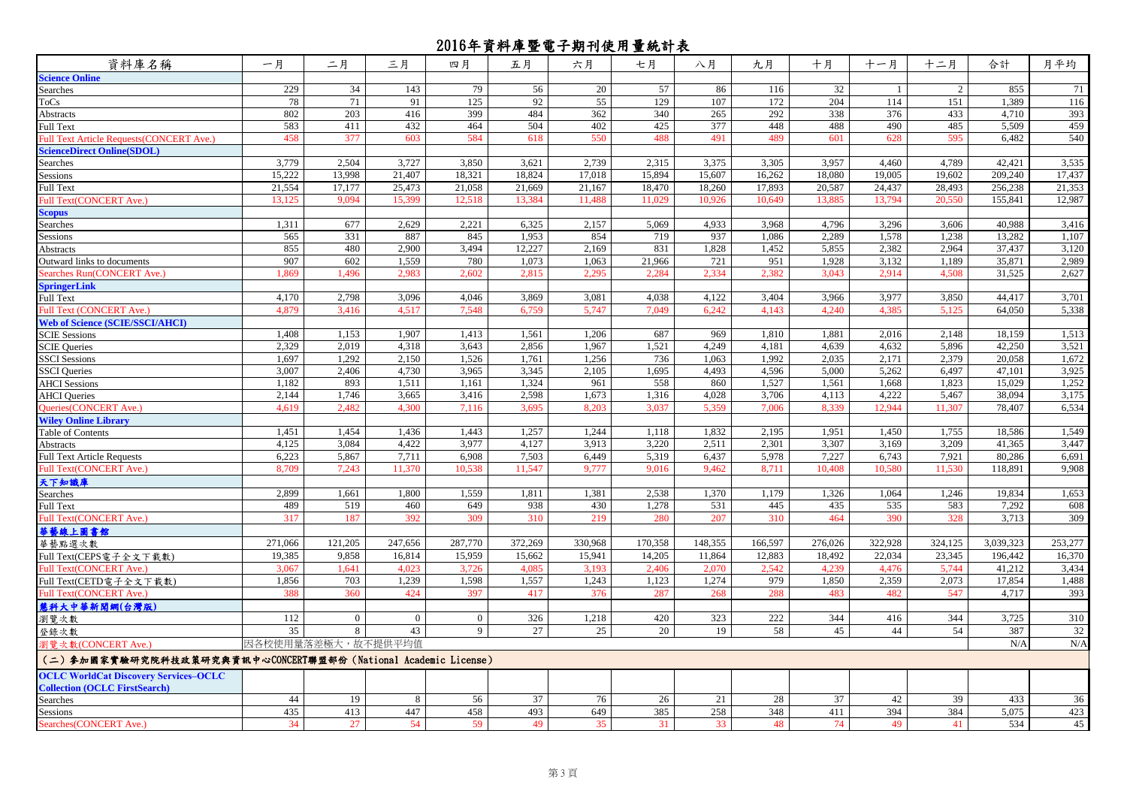| 資料庫名稱                                                           | 一月                 | 二月           | 三月             | 四月             | 五月      | 六月      | 七月      | 八月      | 九月      | 十月              | 十一月     | 十二月     | 合計        | 月平均     |
|-----------------------------------------------------------------|--------------------|--------------|----------------|----------------|---------|---------|---------|---------|---------|-----------------|---------|---------|-----------|---------|
| <b>Science Online</b>                                           |                    |              |                |                |         |         |         |         |         |                 |         |         |           |         |
| Searches                                                        | 229                | 34           | 143            | 79             | 56      | 20      | 57      | 86      | 116     | $\overline{32}$ |         | 2       | 855       | 71      |
| ToCs                                                            | 78                 | 71           | 91             | 125            | 92      | 55      | 129     | 107     | 172     | 204             | 114     | 151     | 1,389     | 116     |
| Abstracts                                                       | 802                | 203          | 416            | 399            | 484     | 362     | 340     | 265     | 292     | 338             | 376     | 433     | 4,710     | 393     |
| Full Text                                                       | 583                | 411          | 432            | 464            | 504     | 402     | 425     | 377     | 448     | 488             | 490     | 485     | 5,509     | 459     |
| <b>Full Text Article Requests (CONCERT Ave.)</b>                | 458                | 377          | 603            | 584            | 618     | 550     | 488     | 491     | 489     | 601             | 628     | 595     | 6,482     | 540     |
| <b>ScienceDirect Online(SDOL)</b>                               |                    |              |                |                |         |         |         |         |         |                 |         |         |           |         |
| Searches                                                        | 3,779              | 2.504        | 3,727          | 3,850          | 3,621   | 2,739   | 2,315   | 3,375   | 3,305   | 3,957           | 4,460   | 4,789   | 42,421    | 3,535   |
| <b>Sessions</b>                                                 | 15,222             | 13,998       | 21,407         | 18,321         | 18,824  | 17,018  | 15,894  | 15,607  | 16,262  | 18,080          | 19,005  | 19,602  | 209,240   | 17,437  |
| <b>Full Text</b>                                                | 21,554             | 17,177       | 25,473         | 21,058         | 21,669  | 21,167  | 18,470  | 18,260  | 17,893  | 20,587          | 24,437  | 28,493  | 256,238   | 21,353  |
| <b>Full Text(CONCERT Ave.)</b>                                  | 13,125             | 9,094        | 15,399         | 12,518         | 13.384  | 11,488  | 11,029  | 10,926  | 10,649  | 13,885          | 13,794  | 20,550  | 155,841   | 12,987  |
| Scopus                                                          |                    |              |                |                |         |         |         |         |         |                 |         |         |           |         |
| Searches                                                        | 1,311              | 677          | 2,629          | 2,221          | 6,325   | 2,157   | 5,069   | 4,933   | 3,968   | 4,796           | 3,296   | 3,606   | 40,988    | 3,416   |
| Sessions                                                        | 565                | 331          | 887            | 845            | 1,953   | 854     | 719     | 937     | 1,086   | 2,289           | 1,578   | 1,238   | 13,282    | 1,107   |
| Abstracts                                                       | 855                | 480          | 2,900          | 3,494          | 12,227  | 2,169   | 831     | 1,828   | 1,452   | 5,855           | 2,382   | 2,964   | 37,437    | 3,120   |
| Outward links to documents                                      | 907                | 602          | 1,559          | 780            | 1,073   | 1,063   | 21,966  | 721     | 951     | 1,928           | 3,132   | 1,189   | 35,871    | 2,989   |
| Searches Run(CONCERT Ave.)                                      | 1.869              | 1.496        | 2.983          | 2.602          | 2.815   | 2.29    | 2.284   | 2.334   | 2.382   | 3.043           | 2.914   | 4.508   | 31.525    | 2,627   |
| <b>SpringerLink</b>                                             |                    |              |                |                |         |         |         |         |         |                 |         |         |           |         |
| Full Text                                                       | 4,170              | 2,798        | 3,096          | 4,046          | 3,869   | 3,081   | 4,038   | 4,122   | 3,404   | 3,966           | 3,977   | 3,850   | 44,417    | 3,701   |
| Full Text (CONCERT Ave.)                                        | 4.879              | 3.416        | 4,517          | 7.548          | 6.759   | 5.747   | 7.049   | 6,242   | 4.143   | 4.240           | 4.385   | 5.125   | 64.050    | 5,338   |
| <b>Web of Science (SCIE/SSCI/AHCI)</b>                          |                    |              |                |                |         |         |         |         |         |                 |         |         |           |         |
| <b>SCIE Sessions</b>                                            | 1,408              | 1,153        | 1,907          | 1,413          | 1,561   | 1,206   | 687     | 969     | 1,810   | 1,881           | 2,016   | 2,148   | 18,159    | 1,513   |
| <b>SCIE Oueries</b>                                             | 2,329              | 2,019        | 4,318          | 3,643          | 2,856   | 1,967   | 1,521   | 4,249   | 4,181   | 4,639           | 4,632   | 5,896   | 42,250    | 3,521   |
| <b>SSCI</b> Sessions                                            | 1,697              | 1,292        | 2,150          | 1,526          | 1,761   | 1,256   | 736     | 1,063   | 1,992   | 2,035           | 2,171   | 2.379   | 20,058    | 1,672   |
| <b>SSCI</b> Queries                                             | 3,007              | 2,406        | 4,730          | 3,965          | 3,345   | 2,105   | 1,695   | 4,493   | 4,596   | 5,000           | 5,262   | 6,497   | 47,101    | 3,925   |
| <b>AHCI</b> Sessions                                            | 1.182              | 893          | 1,511          | 1.161          | 1,324   | 961     | 558     | 860     | 1,527   | 1,561           | 1.668   | 1,823   | 15,029    | 1,252   |
| <b>AHCI</b> Queries                                             | 2.144              | 1,746        | 3,665          | 3,416          | 2,598   | 1,673   | 1,316   | 4,028   | 3,706   | 4,113           | 4.222   | 5,467   | 38,094    | 3,175   |
| Queries(CONCERT Ave.)                                           | 4,619              | 2,482        | 4,300          | 7,116          | 3,695   | 8,203   | 3,037   | 5,359   | 7,006   | 8,339           | 12,944  | 11,307  | 78,407    | 6,534   |
| <b>Wiley Online Library</b>                                     |                    |              |                |                |         |         |         |         |         |                 |         |         |           |         |
| Table of Contents                                               | 1,451              | 1,454        | 1,436          | 1,443          | 1,257   | 1.244   | 1,118   | 1,832   | 2,195   | 1,951           | 1,450   | 1,755   | 18,586    | 1,549   |
| Abstracts                                                       | 4,125              | 3,084        | 4,422          | 3,977          | 4,127   | 3,913   | 3,220   | 2,511   | 2,301   | 3,307           | 3,169   | 3,209   | 41,365    | 3,447   |
| <b>Full Text Article Requests</b>                               | 6,223              | 5,867        | 7.711          | 6,908          | 7,503   | 6,449   | 5,319   | 6,437   | 5,978   | 7,227           | 6,743   | 7,921   | 80,286    | 6,691   |
| Full Text(CONCERT Ave.)                                         | 8.709              | 7,243        | 11,370         | 10,538         | 11,547  | 9,777   | 9.016   | 9,462   | 8,711   | 10.408          | 10,580  | 11,530  | 118,891   | 9,908   |
| 天下知識庫                                                           |                    |              |                |                |         |         |         |         |         |                 |         |         |           |         |
| Searches                                                        | 2,899              | 1,661        | 1.800          | 1.559          | 1,811   | 1,381   | 2,538   | 1,370   | 1,179   | 1,326           | 1.064   | 1,246   | 19.834    | 1,653   |
| Full Text                                                       | 489                | 519          | 460            | 649            | 938     | 430     | 1,278   | 531     | 445     | 435             | 535     | 583     | 7,292     | 608     |
| Full Text(CONCERT Ave.)                                         | 317                | 187          | 392            | 309            | 310     | 219     | 280     | 207     | 310     | 464             | 390     | 328     | 3,713     | 309     |
| 華藝線上圖書館                                                         |                    |              |                |                |         |         |         |         |         |                 |         |         |           |         |
| 華藝點選次數                                                          | 271,066            | 121,205      | 247,656        | 287,770        | 372,269 | 330,968 | 170,358 | 148,355 | 166,597 | 276,026         | 322,928 | 324,125 | 3,039,323 | 253,277 |
| Full Text(CEPS電子全文下載數)                                          | 19,385             | 9,858        | 16,814         | 15,959         | 15,662  | 15,941  | 14,205  | 11,864  | 12,883  | 18,492          | 22,034  | 23,345  | 196,442   | 16,370  |
| Full Text(CONCERT Ave.)                                         | 3,067              | 1,641        | 4.023          | 3,726          | 4.085   | 3,193   | 2,406   | 2,070   | 2,542   | 4,239           | 4,476   | 5,744   | 41,212    | 3,434   |
| Full Text(CETD電子全文下載數)                                          | 1,856              | 703          | 1,239          | 1,598          | 1,557   | 1,243   | 1,123   | 1,274   | 979     | 1,850           | 2,359   | 2,073   | 17,854    | 1,488   |
| Full Text(CONCERT Ave.)                                         | 388                | 360          | 424            | 397            | 417     | 376     | 287     | 268     | 288     | 483             | 482     | 547     | 4.717     | 393     |
| 慧科大中華新聞網(台灣版)                                                   |                    |              |                |                |         |         |         |         |         |                 |         |         |           |         |
| 瀏覽次數                                                            | 112                | $\mathbf{0}$ | $\overline{0}$ | $\overline{0}$ | 326     | 1,218   | 420     | 323     | 222     | 344             | 416     | 344     | 3,725     | 310     |
| 登錄次數                                                            | 35                 | 8            | 43             | 9              | 27      | 25      | 20      | 19      | 58      | 45              | 44      | 54      | 387       | 32      |
| 劉覽次數(CONCERT Ave.)                                              | 因各校使用量落差極大,故不提供平均值 |              |                |                |         |         |         |         |         |                 |         |         | N/A       | N/A     |
|                                                                 |                    |              |                |                |         |         |         |         |         |                 |         |         |           |         |
| (二) 参加國家實驗研究院科技政策研究與資訊中心CONCERT聯盟部份 (National Academic License) |                    |              |                |                |         |         |         |         |         |                 |         |         |           |         |
| <b>OCLC WorldCat Discovery Services-OCLC</b>                    |                    |              |                |                |         |         |         |         |         |                 |         |         |           |         |
| <b>Collection (OCLC FirstSearch)</b>                            |                    |              |                |                |         |         |         |         |         |                 |         |         |           |         |
| Searches                                                        | 44                 | 19           | 8              | 56             | 37      | 76      | 26      | 21      | 28      | 37              | 42      | 39      | 433       | 36      |
| <b>Sessions</b>                                                 | 435                | 413          | 447            | 458            | 493     | 649     | 385     | 258     | 348     | 411             | 394     | 384     | 5,075     | 423     |
| Searches(CONCERT Ave.)                                          | 34                 | 27           | 54             | 59             | 49      | 35      | 31      | 33      | 48      | 74              | 49      | 41      | 534       | 45      |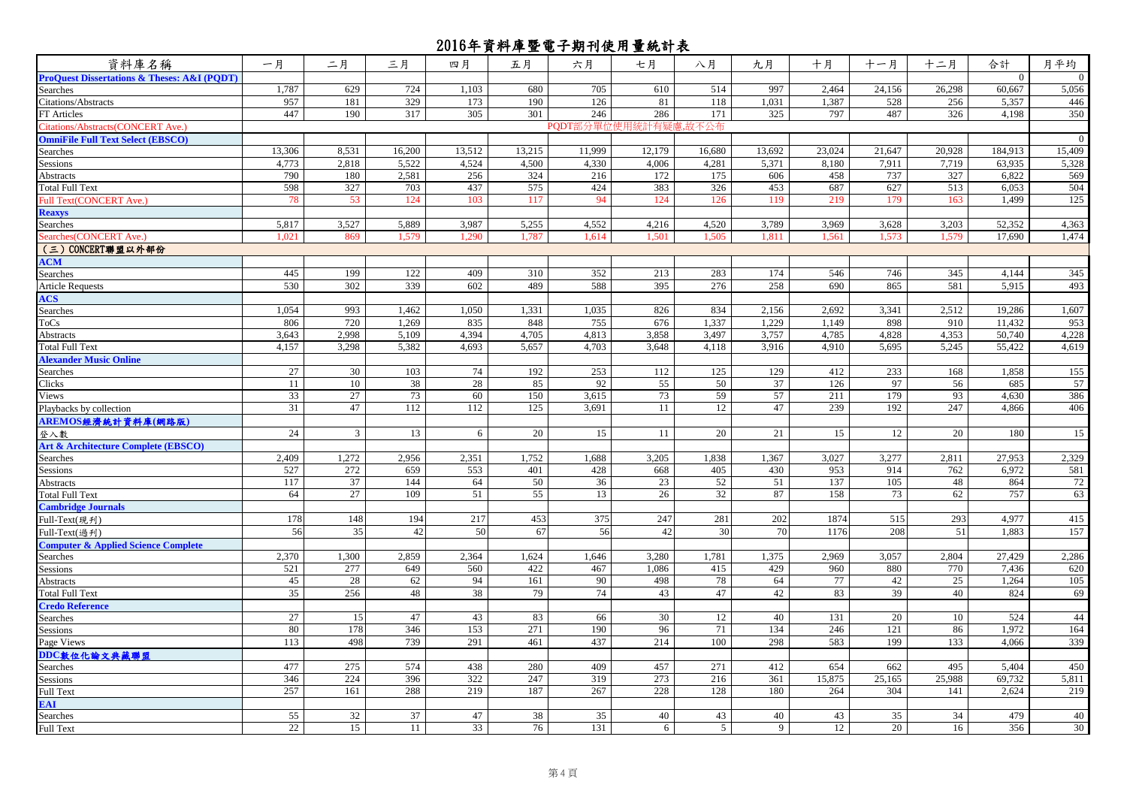| 資料庫名稱                                                      | 一月              | 二月             | 三月     | 四月     | 五月     | 六月                   | 七月     | 八月             | 九月     | 十月     | 十一月    | 十二月    | 合計       | 月平均          |
|------------------------------------------------------------|-----------------|----------------|--------|--------|--------|----------------------|--------|----------------|--------|--------|--------|--------|----------|--------------|
| <b>ProQuest Dissertations &amp; Theses: A&amp;I (PODT)</b> |                 |                |        |        |        |                      |        |                |        |        |        |        | $\Omega$ | $\mathbf{0}$ |
| Searches                                                   | 1,787           | 629            | 724    | 1,103  | 680    | 705                  | 610    | 514            | 997    | 2,464  | 24,156 | 26,298 | 60.667   | 5,056        |
| Citations/Abstracts                                        | 957             | 181            | 329    | 173    | 190    | 126                  | 81     | 118            | 1,031  | 1,387  | 528    | 256    | 5,357    | 446          |
| <b>FT</b> Articles                                         | 447             | 190            | 317    | 305    | 301    | 246                  | 286    | 171            | 325    | 797    | 487    | 326    | 4,198    | 350          |
| Citations/Abstracts(CONCERT Ave.)                          |                 |                |        |        |        | PODT部分單位使用統計有疑慮,故不公布 |        |                |        |        |        |        |          |              |
| <b>OmniFile Full Text Select (EBSCO)</b>                   |                 |                |        |        |        |                      |        |                |        |        |        |        |          | $\mathbf{0}$ |
| Searches                                                   | 13,306          | 8,531          | 16,200 | 13,512 | 13,215 | 11,999               | 12,179 | 16,680         | 13,692 | 23,024 | 21,647 | 20,928 | 184,913  | 15,409       |
| Sessions                                                   | 4,773           | 2,818          | 5,522  | 4,524  | 4,500  | 4,330                | 4,006  | 4,281          | 5,371  | 8,180  | 7,911  | 7,719  | 63,935   | 5,328        |
| Abstracts                                                  | 790             | 180            | 2,581  | 256    | 324    | 216                  | 172    | 175            | 606    | 458    | 737    | 327    | 6,822    | 569          |
| <b>Total Full Text</b>                                     | 598             | 327            | 703    | 437    | 575    | 424                  | 383    | 326            | 453    | 687    | 627    | 513    | 6,053    | 504          |
| Full Text(CONCERT Ave.)                                    | 78              | 53             | 124    | 103    | 117    | 94                   | 124    | 126            | 119    | 219    | 179    | 163    | 1.499    | 125          |
| <b>Reaxys</b>                                              |                 |                |        |        |        |                      |        |                |        |        |        |        |          |              |
| Searches                                                   | 5,817           | 3,527          | 5,889  | 3,987  | 5,255  | 4,552                | 4,216  | 4,520          | 3,789  | 3,969  | 3,628  | 3,203  | 52,352   | 4,363        |
| Searches(CONCERT Ave.)                                     | 1.021           | 869            | 1,579  | 1,290  | 1,787  | 1,614                | 1,501  | 1,505          | 1,811  | 1,561  | 1,573  | 1,579  | 17,690   | 1,474        |
| (三) CONCERT聯盟以外部份                                          |                 |                |        |        |        |                      |        |                |        |        |        |        |          |              |
| <b>ACM</b>                                                 |                 |                |        |        |        |                      |        |                |        |        |        |        |          |              |
| Searches                                                   | 445             | 199            | 122    | 409    | 310    | 352                  | 213    | 283            | 174    | 546    | 746    | 345    | 4,144    | 345          |
| <b>Article Requests</b>                                    | 530             | 302            | 339    | 602    | 489    | 588                  | 395    | 276            | 258    | 690    | 865    | 581    | 5,915    | 493          |
| <b>ACS</b>                                                 |                 |                |        |        |        |                      |        |                |        |        |        |        |          |              |
| Searches                                                   | 1.054           | 993            | 1,462  | 1.050  | 1,331  | 1.035                | 826    | 834            | 2,156  | 2,692  | 3,341  | 2,512  | 19,286   | 1,607        |
| ToCs                                                       | 806             | 720            | 1,269  | 835    | 848    | 755                  | 676    | 1,337          | 1,229  | 1,149  | 898    | 910    | 11,432   | 953          |
| Abstracts                                                  | 3,643           | 2,998          | 5,109  | 4,394  | 4,705  | 4,813                | 3,858  | 3,497          | 3,757  | 4,785  | 4,828  | 4,353  | 50,740   | 4,228        |
| Total Full Text                                            | 4,157           | 3,298          | 5,382  | 4,693  | 5,657  | 4,703                | 3,648  | 4,118          | 3,916  | 4,910  | 5,695  | 5,245  | 55,422   | 4,619        |
| <b>Alexander Music Online</b>                              |                 |                |        |        |        |                      |        |                |        |        |        |        |          |              |
| Searches                                                   | 27              | 30             | 103    | 74     | 192    | 253                  | 112    | 125            | 129    | 412    | 233    | 168    | 1,858    | 155          |
| Clicks                                                     | 11              | 10             | 38     | 28     | 85     | 92                   | 55     | 50             | 37     | 126    | 97     | 56     | 685      | 57           |
| Views                                                      | 33              | 27             | 73     | 60     | 150    | 3,615                | 73     | 59             | 57     | 211    | 179    | 93     | 4,630    | 386          |
| Playbacks by collection                                    | 31              | 47             | 112    | 112    | 125    | 3,691                | 11     | 12             | 47     | 239    | 192    | 247    | 4,866    | 406          |
| AREMOS經濟統計資料庫(網路版)                                         |                 |                |        |        |        |                      |        |                |        |        |        |        |          |              |
| 登入數                                                        | 24              | $\overline{3}$ | 13     | 6      | 20     | 15                   | 11     | $20\,$         | 21     | 15     | 12     | 20     | 180      | 15           |
| Art & Architecture Complete (EBSCO)                        |                 |                |        |        |        |                      |        |                |        |        |        |        |          |              |
| Searches                                                   | 2,409           | 1,272          | 2,956  | 2,351  | 1,752  | 1,688                | 3,205  | 1,838          | 1,367  | 3,027  | 3,277  | 2,811  | 27,953   | 2,329        |
| Sessions                                                   | 527             | 272            | 659    | 553    | 401    | 428                  | 668    | 405            | 430    | 953    | 914    | 762    | 6,972    | 581          |
| Abstracts                                                  | 117             | 37             | 144    | 64     | 50     | 36                   | 23     | 52             | 51     | 137    | 105    | 48     | 864      | 72           |
| Total Full Text                                            | 64              | 27             | 109    | 51     | 55     | 13                   | 26     | 32             | 87     | 158    | 73     | 62     | 757      | 63           |
| <b>Cambridge Journals</b>                                  |                 |                |        |        |        |                      |        |                |        |        |        |        |          |              |
| Full-Text(現刊)                                              | 178             | 148            | 194    | 217    | 453    | 375                  | 247    | 281            | 202    | 1874   | 515    | 293    | 4,977    | 415          |
| Full-Text(過刋)                                              | 56              | 35             | 42     | 50     | 67     | 56                   | 42     | 30             | 70     | 1176   | 208    | 51     | 1,883    | 157          |
| <b>Computer &amp; Applied Science Complete</b>             |                 |                |        |        |        |                      |        |                |        |        |        |        |          |              |
| Searches                                                   | 2,370           | 1,300          | 2,859  | 2,364  | 1,624  | 1,646                | 3,280  | 1,781          | 1,375  | 2,969  | 3,057  | 2,804  | 27,429   | 2,286        |
| Sessions                                                   | 521             | 277            | 649    | 560    | 422    | 467                  | 1,086  | 415            | 429    | 960    | 880    | 770    | 7,436    | 620          |
| Abstracts                                                  | 45              | 28             | 62     | 94     | 161    | 90                   | 498    | 78             | 64     | 77     | 42     | 25     | 1,264    | 105          |
| <b>Total Full Text</b>                                     | $\overline{35}$ | 256            | 48     | 38     | 79     | 74                   | 43     | 47             | 42     | 83     | 39     | 40     | 824      | 69           |
| <b>Credo Reference</b>                                     |                 |                |        |        |        |                      |        |                |        |        |        |        |          |              |
| Searches                                                   | 27              | 15             | 47     | 43     | 83     | 66                   | 30     | 12             | 40     | 131    | 20     | 10     | 524      | 44           |
| Sessions                                                   | 80              | 178            | 346    | 153    | 271    | 190                  | 96     | 71             | 134    | 246    | 121    | 86     | 1,972    | 164          |
| Page Views                                                 | 113             | 498            | 739    | 291    | 461    | 437                  | 214    | 100            | 298    | 583    | 199    | 133    | 4,066    | 339          |
| DDC數位化論文典藏聯盟                                               |                 |                |        |        |        |                      |        |                |        |        |        |        |          |              |
| Searches                                                   | 477             | 275            | 574    | 438    | 280    | 409                  | 457    | 271            | 412    | 654    | 662    | 495    | 5,404    | 450          |
| Sessions                                                   | 346             | 224            | 396    | 322    | 247    | 319                  | 273    | 216            | 361    | 15,875 | 25,165 | 25,988 | 69,732   | 5,811        |
| Full Text                                                  | 257             | 161            | 288    | 219    | 187    | 267                  | 228    | 128            | 180    | 264    | 304    | 141    | 2,624    | 219          |
| EAI                                                        |                 |                |        |        |        |                      |        |                |        |        |        |        |          |              |
| Searches                                                   | 55              | 32             | 37     | 47     | 38     | 35                   | 40     | 43             | 40     | 43     | 35     | 34     | 479      | 40           |
| Full Text                                                  | 22              | 15             | 11     | 33     | 76     | 131                  | 6      | 5 <sup>5</sup> | 9      | 12     | 20     | 16     | 356      | 30           |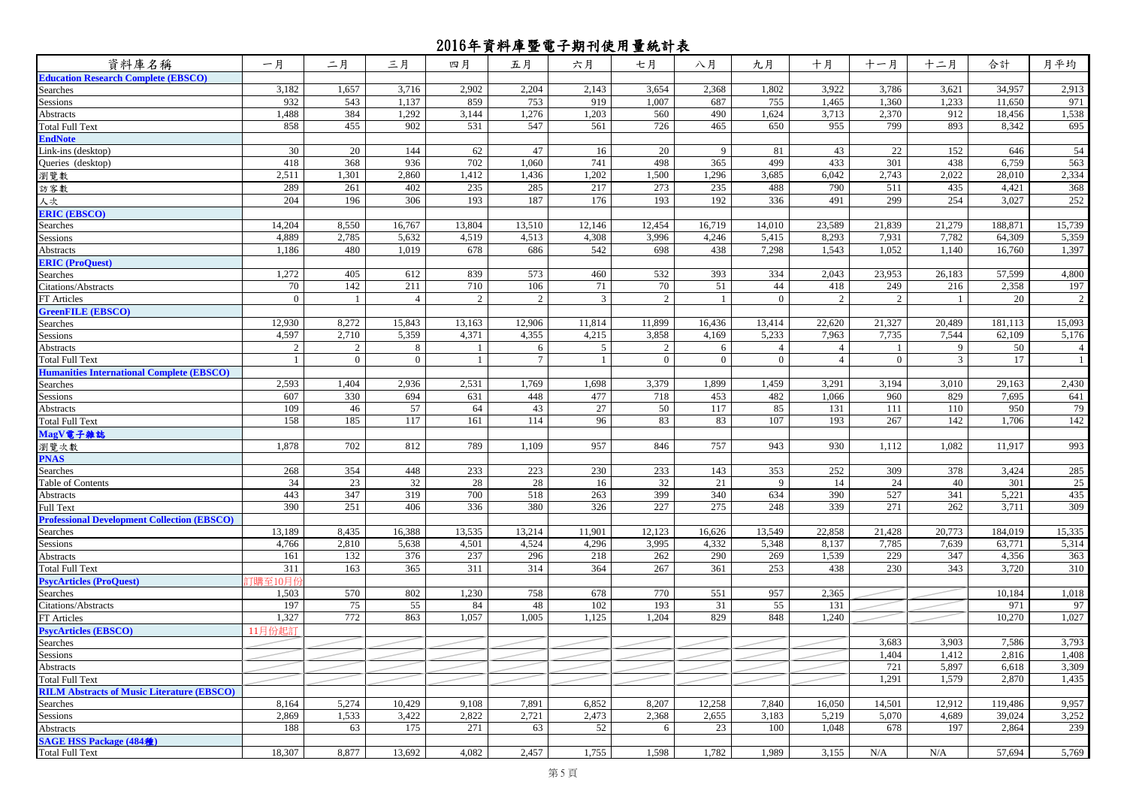| 資料庫名稱                                              | 一月             | 二月             | 三月             | 四月     | 五月     | 六月             | 七月             | 八月             | 九月             | 十月             | 十一月            | 十二月    | 合計      | 月平均    |
|----------------------------------------------------|----------------|----------------|----------------|--------|--------|----------------|----------------|----------------|----------------|----------------|----------------|--------|---------|--------|
| <b>Education Research Complete (EBSCO)</b>         |                |                |                |        |        |                |                |                |                |                |                |        |         |        |
| Searches                                           | 3,182          | 1,657          | 3,716          | 2,902  | 2,204  | 2,143          | 3,654          | 2,368          | 1,802          | 3,922          | 3,786          | 3,621  | 34,957  | 2,913  |
| Sessions                                           | 932            | 543            | 1,137          | 859    | 753    | 919            | 1,007          | 687            | 755            | 1,465          | 1,360          | 1,233  | 11,650  | 971    |
| <b>Abstracts</b>                                   | 1,488          | 384            | 1,292          | 3,144  | 1,276  | 1,203          | 560            | 490            | 1,624          | 3,713          | 2,370          | 912    | 18,456  | 1,538  |
| <b>Total Full Text</b>                             | 858            | 455            | 902            | 531    | 547    | 561            | 726            | 465            | 650            | 955            | 799            | 893    | 8,342   | 695    |
| <b>EndNote</b>                                     |                |                |                |        |        |                |                |                |                |                |                |        |         |        |
| Link-ins (desktop)                                 | 30             | 20             | 144            | 62     | 47     | 16             | 20             | $\mathbf{Q}$   | 81             | 43             | 22             | 152    | 646     | 54     |
| Queries (desktop)                                  | 418            | 368            | 936            | 702    | 1,060  | 741            | 498            | 365            | 499            | 433            | 301            | 438    | 6,759   | 563    |
| 瀏覽數                                                | 2,511          | 1,301          | 2,860          | 1,412  | 1,436  | 1,202          | 1,500          | 1,296          | 3,685          | 6,042          | 2,743          | 2,022  | 28,010  | 2,334  |
| 訪客數                                                | 289            | 261            | 402            | 235    | 285    | 217            | 273            | 235            | 488            | 790            | 511            | 435    | 4,421   | 368    |
| 人次                                                 | 204            | 196            | 306            | 193    | 187    | 176            | 193            | 192            | 336            | 491            | 299            | 254    | 3,027   | 252    |
| <b>ERIC (EBSCO)</b>                                |                |                |                |        |        |                |                |                |                |                |                |        |         |        |
| Searches                                           | 14,204         | 8,550          | 16,767         | 13,804 | 13,510 | 12,146         | 12,454         | 16,719         | 14,010         | 23,589         | 21,839         | 21,279 | 188,871 | 15,739 |
| Sessions                                           | 4,889          | 2,785          | 5,632          | 4,519  | 4,513  | 4,308          | 3,996          | 4,246          | 5,415          | 8,293          | 7,931          | 7,782  | 64,309  | 5,359  |
| Abstracts                                          | 1,186          | 480            | 1,019          | 678    | 686    | 542            | 698            | 438            | 7,298          | 1,543          | 1,052          | 1,140  | 16,760  | 1,397  |
| <b>ERIC</b> (ProQuest)                             |                |                |                |        |        |                |                |                |                |                |                |        |         |        |
| Searches                                           | 1,272          | 405            | 612            | 839    | 573    | 460            | 532            | 393            | 334            | 2,043          | 23,953         | 26,183 | 57,599  | 4,800  |
| Citations/Abstracts                                | 70             | 142            | 211            | 710    | 106    | 71             | 70             | 51             | 44             | 418            | 249            | 216    | 2,358   | 197    |
| FT Articles                                        | $\overline{0}$ |                | $\overline{4}$ | 2      | 2      | $\mathfrak{Z}$ | 2              |                | $\overline{0}$ | $\overline{2}$ | 2              |        | 20      | 2      |
| <b>GreenFILE (EBSCO)</b>                           |                |                |                |        |        |                |                |                |                |                |                |        |         |        |
| Searches                                           | 12,930         | 8,272          | 15,843         | 13,163 | 12,906 | 11,814         | 11,899         | 16,436         | 13,414         | 22,620         | 21,327         | 20,489 | 181,113 | 15,093 |
| Sessions                                           | 4,597          | 2,710          | 5,359          | 4,371  | 4,355  | 4,215          | 3,858          | 4,169          | 5,233          | 7,963          | 7,735          | 7,544  | 62,109  | 5,176  |
| Abstracts                                          | 2              | $\overline{2}$ | 8              |        | 6      | 5              | 2              | 6              | $\overline{4}$ | 4              |                | 9      | 50      | 4      |
| <b>Total Full Text</b>                             |                | $\mathbf{0}$   | $\mathbf{0}$   |        | 7      |                | $\overline{0}$ | $\overline{0}$ | $\Omega$       | $\overline{4}$ | $\overline{0}$ | 3      | 17      | 1      |
| <b>Humanities International Complete (EBSCO)</b>   |                |                |                |        |        |                |                |                |                |                |                |        |         |        |
| Searches                                           | 2,593          | 1,404          | 2,936          | 2,531  | 1,769  | 1,698          | 3,379          | 1,899          | 1,459          | 3,291          | 3,194          | 3,010  | 29,163  | 2,430  |
| Sessions                                           | 607            | 330            | 694            | 631    | 448    | 477            | 718            | 453            | 482            | 1,066          | 960            | 829    | 7,695   | 641    |
| Abstracts                                          | 109            | 46             | 57             | 64     | 43     | 27             | 50             | 117            | 85             | 131            | 111            | 110    | 950     | 79     |
| <b>Total Full Text</b>                             | 158            | 185            | 117            | 161    | 114    | 96             | 83             | 83             | 107            | 193            | 267            | 142    | 1,706   | 142    |
| MagV電子雜誌                                           |                |                |                |        |        |                |                |                |                |                |                |        |         |        |
| 瀏覽次數                                               | 1,878          | 702            | 812            | 789    | 1,109  | 957            | 846            | 757            | 943            | 930            | 1,112          | 1,082  | 11,917  | 993    |
| <b>PNAS</b>                                        |                |                |                |        |        |                |                |                |                |                |                |        |         |        |
| Searches                                           | 268            | 354            | 448            | 233    | 223    | 230            | 233            | 143            | 353            | 252            | 309            | 378    | 3,424   | 285    |
| Table of Contents                                  | 34             | 23             | 32             | 28     | 28     | 16             | 32             | 21             | 9              | 14             | 24             | 40     | 301     | 25     |
| Abstracts                                          | 443            | 347            | 319            | 700    | 518    | 263            | 399            | 340            | 634            | 390            | 527            | 341    | 5,221   | 435    |
| <b>Full Text</b>                                   | 390            | 251            | 406            | 336    | 380    | 326            | 227            | 275            | 248            | 339            | 271            | 262    | 3,711   | 309    |
| <b>Professional Development Collection (EBSCO)</b> |                |                |                |        |        |                |                |                |                |                |                |        |         |        |
| Searches                                           | 13,189         | 8,435          | 16,388         | 13,535 | 13,214 | 11,901         | 12,123         | 16,626         | 13,549         | 22,858         | 21,428         | 20,773 | 184,019 | 15,335 |
| Sessions                                           | 4,766          | 2,810          | 5,638          | 4,501  | 4,524  | 4,296          | 3,995          | 4,332          | 5,348          | 8,137          | 7,785          | 7,639  | 63,771  | 5,314  |
| Abstracts                                          | 161            | 132            | 376            | 237    | 296    | 218            | 262            | 290            | 269            | 1,539          | 229            | 347    | 4,356   | 363    |
| <b>Total Full Text</b>                             | 311            | 163            | 365            | 311    | 314    | 364            | 267            | 361            | 253            | 438            | 230            | 343    | 3,720   | 310    |
| <b>PsycArticles (ProQuest)</b>                     | 汀購至10月         |                |                |        |        |                |                |                |                |                |                |        |         |        |
| Searches                                           | 1,503          | 570            | 802            | 1,230  | 758    | 678            | 770            | 551            | 957            | 2,365          |                |        | 10,184  | 1,018  |
| Citations/Abstracts                                | 197            | 75             | 55             | 84     | 48     | 102            | 193            | 31             | 55             | 131            |                |        | 971     | 97     |
| FT Articles                                        | 1,327          | 772            | 863            | 1,057  | 1,005  | 1,125          | 1,204          | 829            | 848            | 1,240          |                |        | 10,270  | 1,027  |
| <b>PsycArticles (EBSCO)</b>                        | 11月份起訂         |                |                |        |        |                |                |                |                |                |                |        |         |        |
| Searches                                           |                |                |                |        |        |                |                |                |                |                | 3,683          | 3,903  | 7,586   | 3,793  |
| Sessions                                           |                |                |                |        |        |                |                |                |                |                | 1,404          | 1,412  | 2,816   | 1,408  |
| <b>Abstracts</b>                                   |                |                |                |        |        |                |                |                |                |                | 721            | 5,897  | 6,618   | 3,309  |
| <b>Total Full Text</b>                             |                |                |                |        |        |                |                |                |                |                | 1,291          | 1,579  | 2,870   | 1,435  |
| <b>RILM Abstracts of Music Literature (EBSCO)</b>  |                |                |                |        |        |                |                |                |                |                |                |        |         |        |
| Searches                                           | 8,164          | 5,274          | 10,429         | 9,108  | 7,891  | 6,852          | 8,207          | 12,258         | 7,840          | 16,050         | 14,501         | 12,912 | 119,486 | 9,957  |
| Sessions                                           | 2,869          | 1,533          | 3,422          | 2,822  | 2,721  | 2,473          | 2,368          | 2,655          | 3,183          | 5,219          | 5,070          | 4,689  | 39,024  | 3,252  |
| Abstracts                                          | 188            | 63             | 175            | 271    | 63     | 52             | 6              | 23             | 100            | 1,048          | 678            | 197    | 2,864   | 239    |
| <b>SAGE HSS Package (484種)</b>                     |                |                |                |        |        |                |                |                |                |                |                |        |         |        |
| <b>Total Full Text</b>                             | 18,307         | 8,877          | 13,692         | 4,082  | 2,457  | 1,755          | 1,598          | 1,782          | 1,989          | 3,155          | N/A            | N/A    | 57,694  | 5,769  |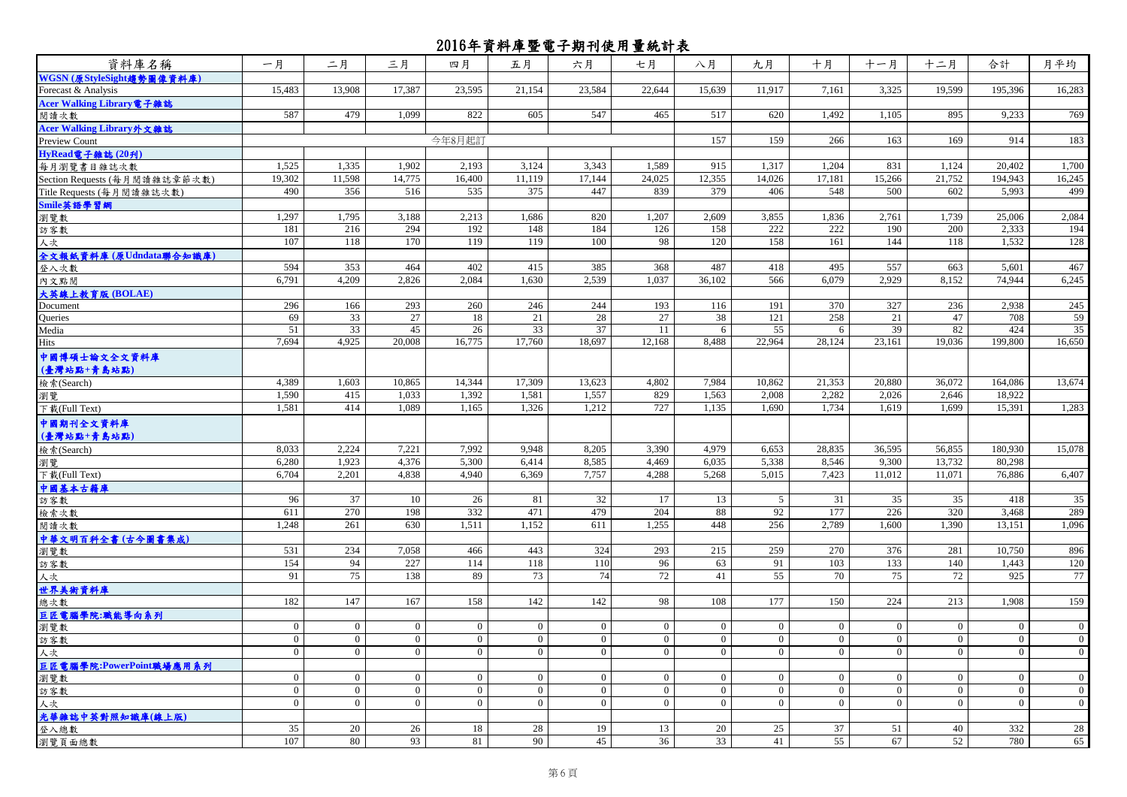| 資料庫名稱                         | 一月             | 二月             | 三月               | 四月             | 五月             | 六月             | 七月             | 八月             | 九月              | 十月              | 十一月             | 十二月             | 合計             | 月平均            |
|-------------------------------|----------------|----------------|------------------|----------------|----------------|----------------|----------------|----------------|-----------------|-----------------|-----------------|-----------------|----------------|----------------|
| WGSN (原StyleSight趨勢圖像資料庫)     |                |                |                  |                |                |                |                |                |                 |                 |                 |                 |                |                |
| Forecast & Analysis           | 15.483         | 13,908         | 17.387           | 23,595         | 21.154         | 23.584         | 22,644         | 15.639         | 11,917          | 7,161           | 3,325           | 19.599          | 195.396        | 16,283         |
| Acer Walking Library電子雜誌      |                |                |                  |                |                |                |                |                |                 |                 |                 |                 |                |                |
| 閱讀次數                          | 587            | 479            | 1.099            | 822            | 605            | 547            | 465            | 517            | 620             | 1,492           | 1.105           | 895             | 9,233          | 769            |
| Acer Walking Library外文雜誌      |                |                |                  |                |                |                |                |                |                 |                 |                 |                 |                |                |
| Preview Count                 |                |                |                  | 今年8月起訂         |                |                |                | 157            | 159             | 266             | 163             | 169             | 914            | 183            |
| HyRead電子雜誌 (20刋)              |                |                |                  |                |                |                |                |                |                 |                 |                 |                 |                |                |
| 每月瀏覽書目雜誌次數                    | 1.525          | 1.335          | 1.902            | 2,193          | 3.124          | 3.343          | 1.589          | 915            | 1.317           | 1.204           | 831             | 1.124           | 20,402         | 1.700          |
| Section Requests (每月閱讀雜誌章節次數) | 19,302         | 11,598         | 14,775           | 16,400         | 11,119         | 17,144         | 24,025         | 12,355         | 14,026          | 17,181          | 15,266          | 21,752          | 194,943        | 16,245         |
| Title Requests (每月閱讀雜誌次數)     | 490            | 356            | 516              | 535            | 375            | 447            | 839            | 379            | 406             | 548             | 500             | 602             | 5,993          | 499            |
| Smile英語學習網                    |                |                |                  |                |                |                |                |                |                 |                 |                 |                 |                |                |
| 瀏覽數                           | 1,297          | 1,795          | 3,188            | 2,213          | 1,686          | 820            | 1,207          | 2,609          | 3,855           | 1,836           | 2,761           | 1,739           | 25,006         | 2,084          |
| 訪客數                           | 181            | 216            | 294              | 192            | 148            | 184            | 126            | 158            | 222             | 222             | 190             | 200             | 2,333          | 194            |
| 人次                            | 107            | 118            | 170              | 119            | 119            | 100            | 98             | 120            | 158             | 161             | 144             | 118             | 1,532          | 128            |
| 全文報紙資料庫 (原Udndata聯合知識庫)       |                |                |                  |                |                |                |                |                |                 |                 |                 |                 |                |                |
| 登入次數                          | 594            | 353            | 464              | 402            | 415            | 385            | 368            | 487            | 418             | 495             | 557             | 663             | 5,601          | 467            |
| 內文點閱                          | 6,791          | 4,209          | 2,826            | 2,084          | 1,630          | 2,539          | 1,037          | 36,102         | 566             | 6,079           | 2,929           | 8,152           | 74,944         | 6,245          |
| 大英線上教育版 (BOLAE)               |                |                |                  |                |                |                |                |                |                 |                 |                 |                 |                |                |
| Document                      | 296            | 166            | 293              | 260            | 246            | 244            | 193            | 116            | 191             | 370             | 327             | 236             | 2,938          | 245            |
| Queries                       | 69             | 33             | 27               | 18             | 21             | 28             | 27             | 38             | 121             | 258             | 21              | 47              | 708            | 59             |
| Media                         | 51             | 33             | 45               | 26             | 33             | 37             | 11             | 6              | 55              | 6               | 39              | 82              | 424            | 35             |
| Hits                          | 7,694          | 4,925          | 20,008           | 16,775         | 17,760         | 18,697         | 12,168         | 8,488          | 22,964          | 28,124          | 23,161          | 19,036          | 199,800        | 16,650         |
| 中國博碩士論文全文資料庫                  |                |                |                  |                |                |                |                |                |                 |                 |                 |                 |                |                |
| (臺灣站點+青島站點)                   |                |                |                  |                |                |                |                |                |                 |                 |                 |                 |                |                |
| 檢索(Search)                    | 4,389          | 1,603          | 10,865           | 14,344         | 17,309         | 13,623         | 4,802          | 7,984          | 10,862          | 21,353          | 20,880          | 36,072          | 164,086        | 13,674         |
| 瀏覽                            | 1,590          | 415            | 1.033            | 1,392          | 1,581          | 1,557          | 829            | 1,563          | 2.008           | 2,282           | 2,026           | 2.646           | 18,922         |                |
| 下载(Full Text)                 | 1,581          | 414            | 1,089            | 1,165          | 1,326          | 1,212          | 727            | 1,135          | 1,690           | 1,734           | 1,619           | 1,699           | 15,391         | 1,283          |
|                               |                |                |                  |                |                |                |                |                |                 |                 |                 |                 |                |                |
| 中國期刊全文資料庫                     |                |                |                  |                |                |                |                |                |                 |                 |                 |                 |                |                |
| (臺灣站點+青島站點)                   |                |                |                  |                |                |                |                |                |                 |                 |                 |                 |                |                |
| 檢索(Search)                    | 8,033          | 2,224          | 7,221            | 7,992          | 9.948          | 8,205          | 3,390          | 4.979          | 6,653           | 28,835          | 36,595          | 56,855          | 180,930        | 15,078         |
| 瀏覽                            | 6.280          | 1.923          | 4,376            | 5.300          | 6.414          | 8,585          | 4.469          | 6.035          | 5,338           | 8,546           | 9.300           | 13,732          | 80.298         |                |
| 下载(Full Text)                 | 6,704          | 2,201          | 4,838            | 4,940          | 6,369          | 7,757          | 4,288          | 5,268          | 5,015           | 7,423           | 11,012          | 11,071          | 76,886         | 6,407          |
| 中國基本古籍庫                       |                |                |                  |                |                |                |                |                |                 |                 |                 |                 |                |                |
| 訪客數                           | 96             | 37             | 10               | 26             | 81             | 32             | 17             | 13             | 5               | 31              | 35              | 35              | 418            | 35             |
| 檢索次數                          | 611            | 270            | 198              | 332            | 471            | 479            | 204            | 88             | 92              | 177             | 226             | 320             | 3,468          | 289            |
| 閱讀次數                          | 1,248          | 261            | 630              | 1,511          | 1,152          | 611            | 1,255          | 448            | 256             | 2,789           | 1.600           | 1.390           | 13,151         | 1,096          |
| 中華文明百科全書(古今圖書集成)              |                |                |                  |                |                |                |                |                |                 |                 |                 |                 |                |                |
| 瀏覽數                           | 531            | 234            | 7,058            | 466            | 443            | 324            | 293            | 215            | 259             | 270             | 376             | 281             | 10,750         | 896            |
| 訪客數                           | 154            | 94             | 227              | 114            | 118            | 110            | 96             | 63             | 91              | 103             | 133             | 140             | 1,443          | 120            |
| 人次                            | 91             | 75             | 138              | 89             | 73             | 74             | 72             | 41             | $\overline{55}$ | $\overline{70}$ | $\overline{75}$ | $\overline{72}$ | 925            | 77             |
| 世界美術資料庫                       |                |                |                  |                |                |                |                |                |                 |                 |                 |                 |                |                |
| 總次數                           | 182            | 147            | 167              | 158            | 142            | 142            | 98             | 108            | 177             | 150             | 224             | 213             | 1,908          | 159            |
| 巨匠電腦學院:職能導向系列                 |                |                |                  |                |                |                |                |                |                 |                 |                 |                 |                |                |
| 瀏覽數                           | $\mathbf{0}$   | $\overline{0}$ | $\boldsymbol{0}$ | $\mathbf{0}$   | $\overline{0}$ | $\overline{0}$ | $\overline{0}$ | $\mathbf{0}$   | $\mathbf{0}$    | $\overline{0}$  | $\mathbf{0}$    | $\mathbf{0}$    | $\overline{0}$ | $\overline{0}$ |
| 訪客數                           | $\overline{0}$ | $\Omega$       | $\overline{0}$   | $\overline{0}$ | $\Omega$       | $\overline{0}$ | $\Omega$       | $\Omega$       | $\overline{0}$  | $\overline{0}$  | $\theta$        | $\overline{0}$  | $\overline{0}$ | $\overline{0}$ |
| 人次                            | $\mathbf{0}$   | $\overline{0}$ | $\mathbf{0}$     | $\overline{0}$ | $\overline{0}$ | $\overline{0}$ | $\overline{0}$ | $\overline{0}$ | $\mathbf{0}$    | $\overline{0}$  | $\overline{0}$  | $\mathbf{0}$    | $\mathbf{0}$   | $\overline{0}$ |
| 巨匠電腦學院:PowerPoint職場應用系列       |                |                |                  |                |                |                |                |                |                 |                 |                 |                 |                |                |
| 瀏覽數                           | $\overline{0}$ | $\mathbf{0}$   | $\mathbf{0}$     | $\mathbf{0}$   | $\overline{0}$ | $\overline{0}$ | $\overline{0}$ | $\overline{0}$ | $\overline{0}$  | $\mathbf{0}$    | $\overline{0}$  | $\mathbf{0}$    | $\overline{0}$ | $\mathbf{0}$   |
| 訪客數                           | $\mathbf{0}$   | $\overline{0}$ | $\mathbf{0}$     | $\overline{0}$ | $\overline{0}$ | $\overline{0}$ | $\overline{0}$ | $\overline{0}$ | $\overline{0}$  | $\overline{0}$  | $\overline{0}$  | $\mathbf{0}$    | $\overline{0}$ | $\overline{0}$ |
| 人次                            | $\overline{0}$ | $\overline{0}$ | $\mathbf{0}$     | $\mathbf{0}$   | $\overline{0}$ | $\overline{0}$ | $\overline{0}$ | $\overline{0}$ | $\overline{0}$  | $\overline{0}$  | $\overline{0}$  | $\mathbf{0}$    | $\overline{0}$ | $\mathbf{0}$   |
| 光華雜誌中英對照知識庫(線上版)              |                |                |                  |                |                |                |                |                |                 |                 |                 |                 |                |                |
| 登入總數                          | 35             | 20             | 26               | 18             | 28             | 19             | 13             | 20             | 25              | 37              | 51              | 40              | 332            | 28             |
| 瀏覽頁面總數                        | 107            | 80             | 93               | 81             | 90             | 45             | 36             | 33             | 41              | 55              | 67              | 52              | 780            | 65             |
|                               |                |                |                  |                |                |                |                |                |                 |                 |                 |                 |                |                |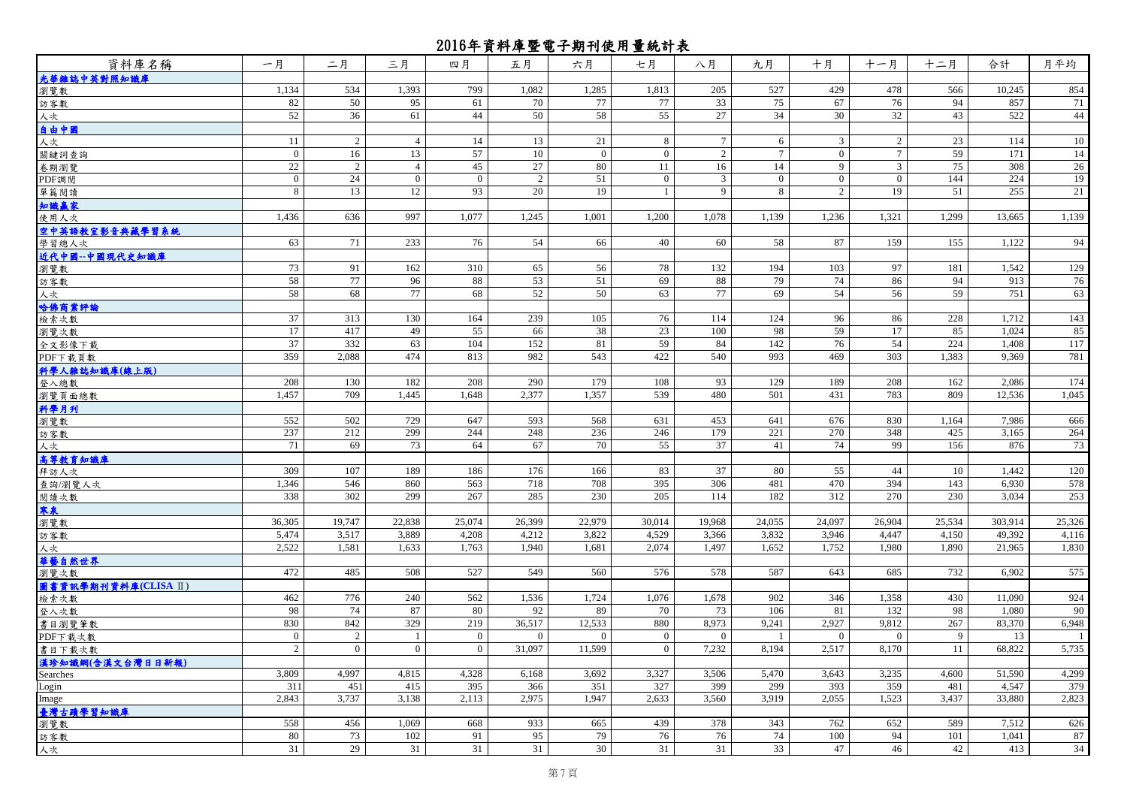| 資料庫名稱                | 一月                            | 二月             | 三月             | 四月               | 五月             | 六月              | 七月             | 八月              | 九月              | 十月             | 十一月            | 十二月          | 合計              | 月平均          |
|----------------------|-------------------------------|----------------|----------------|------------------|----------------|-----------------|----------------|-----------------|-----------------|----------------|----------------|--------------|-----------------|--------------|
| 光華雜誌中英對照知識庫          |                               |                |                |                  |                |                 |                |                 |                 |                |                |              |                 |              |
| 瀏覽數                  | 1,134                         | 534            | 1,393          | 799              | 1,082          | 1,285           | 1,813          | 205             | 527             | 429            | 478            | 566          | 10,245          | 854          |
| 訪客數                  | 82                            | 50             | 95             | 61               | 70             | 77              | 77             | 33              | 75              | 67             | 76             | 94           | 857             | 71           |
| 人次                   | 52                            | 36             | 61             | 44               | 50             | 58              | 55             | 27              | 34              | 30             | 32             | 43           | 522             | 44           |
| 自由中國                 |                               |                |                |                  |                |                 |                |                 |                 |                |                |              |                 |              |
| 人次                   | 11                            | 2              | $\overline{4}$ | 14               | 13             | 21              | 8              | $7\overline{ }$ | 6               | 3 <sup>1</sup> | 2              | 23           | 114             | 10           |
| 關鍵詞查詢                | $\overline{0}$                | 16             | 13             | 57               | 10             | $\overline{0}$  | $\overline{0}$ | 2               | $7\overline{ }$ | $\overline{0}$ | $\overline{7}$ | 59           | 171             | 14           |
| 卷期瀏覽                 | 22                            | 2              | $\overline{4}$ | 45               | 27             | 80              | 11             | 16              | 14              | 9              | $\mathfrak{Z}$ | 75           | 308             | 26           |
| PDF調閲                | $\mathbf{0}$                  | 24             | $\overline{0}$ | $\mathbf{0}$     | 2              | 51              | $\overline{0}$ | $\mathfrak{Z}$  | $\mathbf{0}$    | $\overline{0}$ | $\overline{0}$ | 144          | 224             | 19           |
| 單篇閱讀                 | 8                             | 13             | 12             | 93               | 20             | 19              | $\mathbf{1}$   | 9               | 8               | $\overline{2}$ | 19             | 51           | 255             | 21           |
| 知識赢家                 |                               |                |                |                  |                |                 |                |                 |                 |                |                |              |                 |              |
| 使用人次                 | 1,436                         | 636            | 997            | 1,077            | 1,245          | 1,001           | 1,200          | 1,078           | 1,139           | 1,236          | 1,321          | 1,299        | 13,665          | 1,139        |
| 空中英語教室影音典藏學習系統       |                               |                |                |                  |                |                 |                |                 |                 |                |                |              |                 |              |
| 學習總人次                | 63                            | 71             | 233            | 76               | 54             | 66              | 40             | 60              | 58              | 87             | 159            | 155          | 1,122           | 94           |
| 近代中國--中國現代史知識庫       |                               |                |                |                  |                |                 |                |                 |                 |                |                |              |                 |              |
| 瀏覽數                  | 73                            | 91             | 162            | 310              | 65             | 56              | 78             | 132             | 194             | 103            | 97             | 181          | 1,542           | 129          |
| 訪客數                  | 58                            | 77             | 96             | 88               | 53             | 51              | 69             | 88              | 79              | 74             | 86             | 94           | 913             | 76           |
| 人次                   | 58                            | 68             | 77             | 68               | 52             | 50              | 63             | 77              | 69              | 54             | 56             | 59           | 751             | 63           |
| 哈佛商業評論               |                               |                |                |                  |                |                 |                |                 |                 |                |                |              |                 |              |
| 檢索次數                 | 37                            | 313            | 130            | 164              | 239            | 105             | 76             | 114             | 124             | 96             | 86             | 228          | 1,712           | 143          |
| 瀏覽次數                 | 17                            | 417            | 49             | 55               | 66             | 38              | 23             | 100             | 98              | 59             | 17             | 85           | 1,024           | 85           |
| 全文影像下載               | 37                            | 332            | 63             | 104              | 152            | 81              | 59             | 84              | 142             | 76             | 54             | 224          | 1,408           | 117          |
| PDF下载頁數              | 359                           | 2,088          | 474            | 813              | 982            | 543             | 422            | 540             | 993             | 469            | 303            | 1,383        | 9,369           | 781          |
| 科學人雜誌知識庫(線上版)        |                               |                |                |                  |                |                 |                |                 |                 |                |                |              |                 |              |
| 登入總數                 | 208                           | 130            | 182            | 208              | 290            | 179             | 108            | 93              | 129             | 189            | 208            | 162          | 2,086           | 174          |
| 瀏覽頁面總數               | 1,457                         | 709            | 1,445          | 1,648            | 2,377          | 1,357           | 539            | 480             | 501             | 431            | 783            | 809          | 12,536          | 1,045        |
| 科學月刊                 |                               |                |                |                  |                |                 |                |                 |                 |                |                |              |                 |              |
| 瀏覽數                  | 552                           | 502            | 729            | 647              | 593            | 568             | 631            | 453             | 641             | 676            | 830            | 1,164        | 7,986           | 666          |
| 訪客數                  | 237                           | 212            | 299            | 244              | 248            | 236             | 246            | 179             | 221             | 270            | 348            | 425          | 3,165           | 264          |
| 人次                   | 71                            | 69             | 73             | 64               | 67             | 70              | 55             | 37              | 41              | 74             | 99             | 156          | 876             | 73           |
| 高等教育知識庫              |                               |                |                |                  |                |                 |                |                 |                 |                |                |              |                 |              |
| 拜訪人次                 | 309                           | 107            | 189            | 186              | 176            | 166             | 83             | 37              | 80              | 55             | 44             | 10           | 1,442           | 120          |
| 查詢/瀏覽人次              | 1,346                         | 546            | 860            | 563              | 718            | 708             | 395            | 306             | 481             | 470            | 394            | 143          | 6,930           | 578          |
| 閱讀次數                 | 338                           | 302            | 299            | 267              | 285            | 230             | 205            | 114             | 182             | 312            | 270            | 230          | 3,034           | 253          |
| 寒泉                   |                               |                |                |                  |                |                 |                |                 |                 |                |                |              |                 |              |
| 瀏覽數                  | 36,305                        | 19,747         | 22,838         | 25,074           | 26,399         | 22,979          | 30,014         | 19,968          | 24,055          | 24,097         | 26,904         | 25,534       | 303,914         | 25,326       |
| 訪客數                  | 5,474                         | 3,517          | 3,889          | 4,208            | 4,212          | 3,822           | 4,529          | 3,366           | 3,832           | 3,946          | 4,447          | 4,150        | 49,392          | 4,116        |
| 人次                   | 2,522                         | 1,581          | 1,633          | 1,763            | 1,940          | 1,681           | 2,074          | 1,497           | 1,652           | 1,752          | 1,980          | 1,890        | 21,965          | 1,830        |
| 華藝自然世界               |                               |                |                |                  |                |                 |                |                 |                 |                |                |              |                 |              |
| 瀏覽次數                 | 472                           | 485            | 508            | 527              | 549            | 560             | 576            | 578             | 587             | 643            | 685            | 732          | 6,902           | 575          |
| 圖書資訊學期刊資料庫(CLISA II) |                               |                |                |                  |                |                 |                |                 |                 |                |                |              |                 |              |
| 檢索次數                 | 462                           | 776            | 240            | 562              | 1,536          | 1,724           | 1,076          | 1,678           | 902             | 346            | 1,358          | 430          | 11,090          | 924          |
| 登入次數                 | 98<br>830                     | 74<br>842      | 87<br>329      | 80               | 92<br>36,517   | 89<br>12,533    | 70             | 73<br>8,973     | 106             | 81<br>2,927    | 132<br>9,812   | 98           | 1,080<br>83,370 | 90           |
| 書目瀏覽筆數               |                               |                |                | 219              |                |                 | 880            |                 | 9,241           |                |                | 267          |                 | 6,948        |
| PDF下载次數              | $\overline{0}$<br>$2^{\circ}$ | $\overline{c}$ | 1              | $\overline{0}$   | $\overline{0}$ | $\overline{0}$  | $\overline{0}$ | $\theta$        |                 | $\overline{0}$ | $\overline{0}$ | 9            | 13              | $\mathbf{1}$ |
| 書目下載次數               |                               | $\mathbf{0}$   | $\overline{0}$ | $\boldsymbol{0}$ | 31,097         | 11,599          | $\overline{0}$ | 7,232           | 8,194           | 2,517          | 8,170          | 11           | 68,822          | 5,735        |
| 漢珍知識網(含漢文台灣日日新報)     | 3,809                         | 4,997          | 4,815          | 4,328            | 6,168          | 3,692           | 3,327          | 3,506           | 5,470           | 3,643          | 3,235          |              | 51,590          |              |
| Searches             | 311                           | 451            | 415            | 395              | 366            | 351             | 327            | 399             | 299             | 393            | 359            | 4,600<br>481 | 4,547           | 4,299<br>379 |
| Login                | 2,843                         | 3,737          | 3,138          | 2,113            | 2,975          | 1,947           | 2,633          | 3,560           | 3,919           | 2,055          | 1,523          | 3,437        | 33,880          | 2,823        |
| Image                |                               |                |                |                  |                |                 |                |                 |                 |                |                |              |                 |              |
| 臺灣古蹟學習知識庫            | 558                           | 456            | 1,069          | 668              | 933            | 665             | 439            | 378             | 343             | 762            | 652            | 589          | 7,512           | 626          |
| 瀏覽數                  | 80                            | 73             | 102            | 91               | 95             | 79              | 76             | 76              | 74              | 100            | 94             | 101          | 1,041           | 87           |
| 訪客數                  | 31                            | 29             | 31             | 31               | 31             | 30 <sup>1</sup> | 31             | 31              | 33              | 47             | 46             | 42           | 413             | 34           |
| 人次                   |                               |                |                |                  |                |                 |                |                 |                 |                |                |              |                 |              |